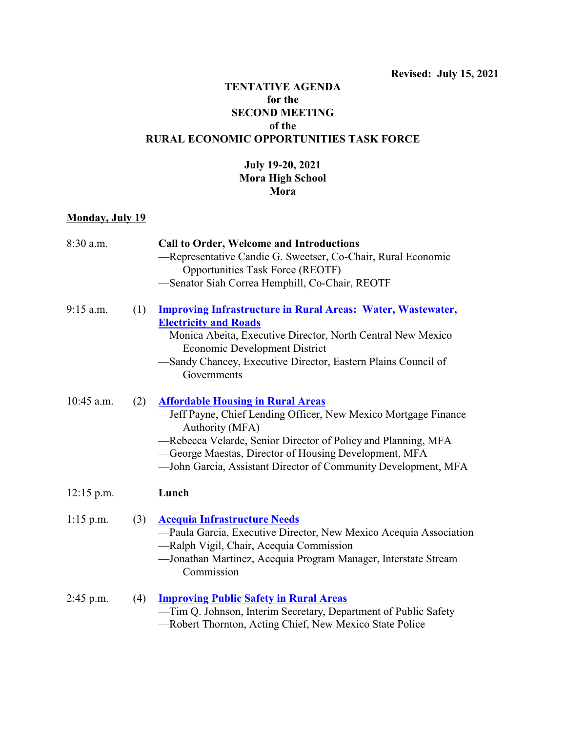## **TENTATIVE AGENDA for the SECOND MEETING of the RURAL ECONOMIC OPPORTUNITIES TASK FORCE**

## **July 19-20, 2021 Mora High School Mora**

## **Monday, July 19**

| 8:30 a.m.    |     | <b>Call to Order, Welcome and Introductions</b>                                                           |
|--------------|-----|-----------------------------------------------------------------------------------------------------------|
|              |     | -Representative Candie G. Sweetser, Co-Chair, Rural Economic                                              |
|              |     | Opportunities Task Force (REOTF)                                                                          |
|              |     | -Senator Siah Correa Hemphill, Co-Chair, REOTF                                                            |
| $9:15$ a.m.  | (1) | <b>Improving Infrastructure in Rural Areas: Water, Wastewater,</b>                                        |
|              |     | <b>Electricity and Roads</b>                                                                              |
|              |     | -Monica Abeita, Executive Director, North Central New Mexico<br><b>Economic Development District</b>      |
|              |     | -Sandy Chancey, Executive Director, Eastern Plains Council of<br>Governments                              |
| $10:45$ a.m. | (2) | <b>Affordable Housing in Rural Areas</b>                                                                  |
|              |     | -Jeff Payne, Chief Lending Officer, New Mexico Mortgage Finance<br>Authority (MFA)                        |
|              |     | -Rebecca Velarde, Senior Director of Policy and Planning, MFA                                             |
|              |     | -George Maestas, Director of Housing Development, MFA                                                     |
|              |     | -John Garcia, Assistant Director of Community Development, MFA                                            |
| $12:15$ p.m. |     | Lunch                                                                                                     |
| $1:15$ p.m.  | (3) | <b>Acequia Infrastructure Needs</b>                                                                       |
|              |     | -Paula Garcia, Executive Director, New Mexico Acequia Association                                         |
|              |     | -Ralph Vigil, Chair, Acequia Commission<br>-Jonathan Martinez, Acequia Program Manager, Interstate Stream |
|              |     | Commission                                                                                                |
| $2:45$ p.m.  | (4) | <b>Improving Public Safety in Rural Areas</b>                                                             |
|              |     | -Tim Q. Johnson, Interim Secretary, Department of Public Safety                                           |
|              |     | -Robert Thornton, Acting Chief, New Mexico State Police                                                   |